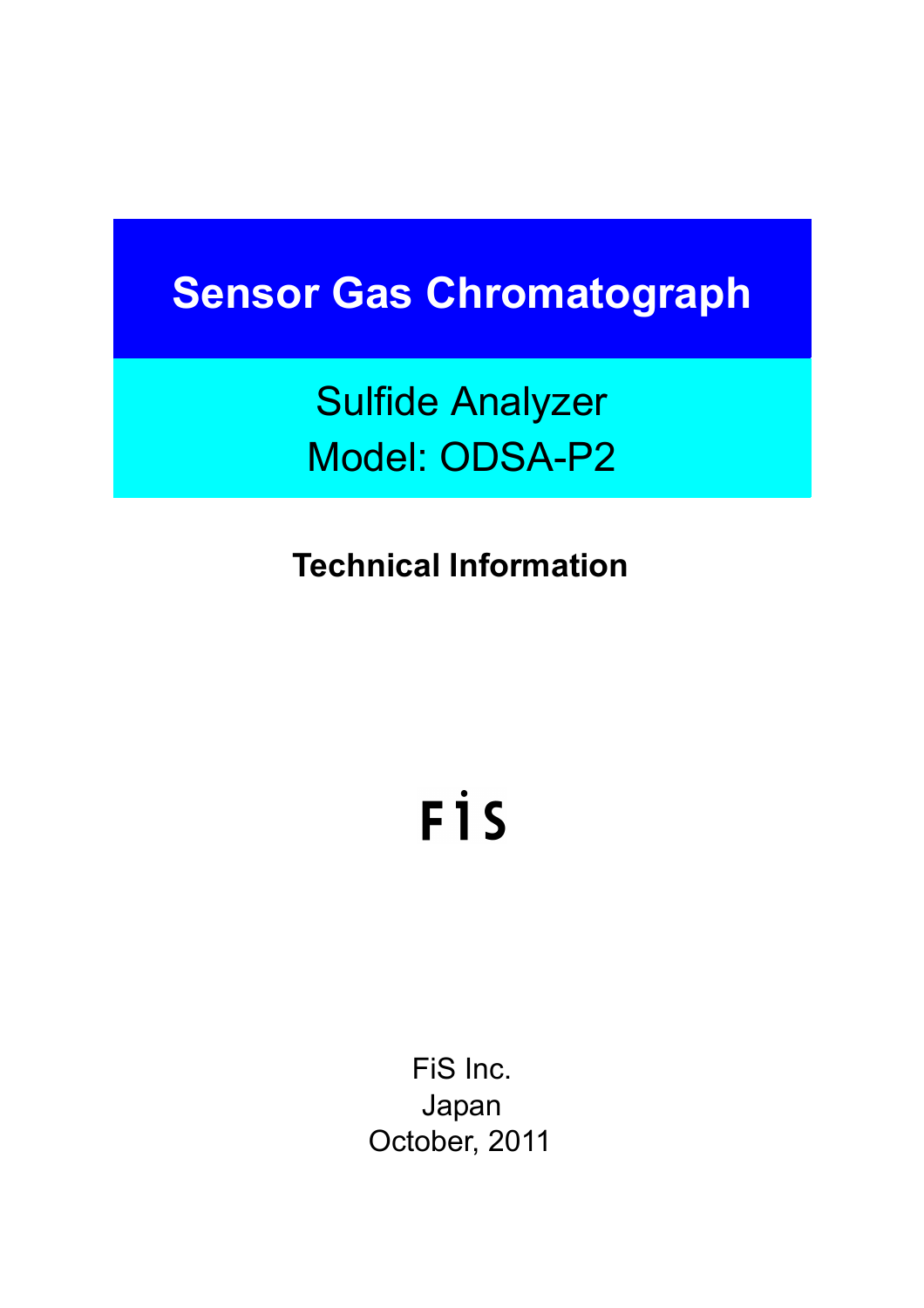# **Sensor Gas Chromatograph**

Sulfide Analyzer Model: ODSA-P2

**Technical Information**

# FİS

FiS Inc. Japan October, 2011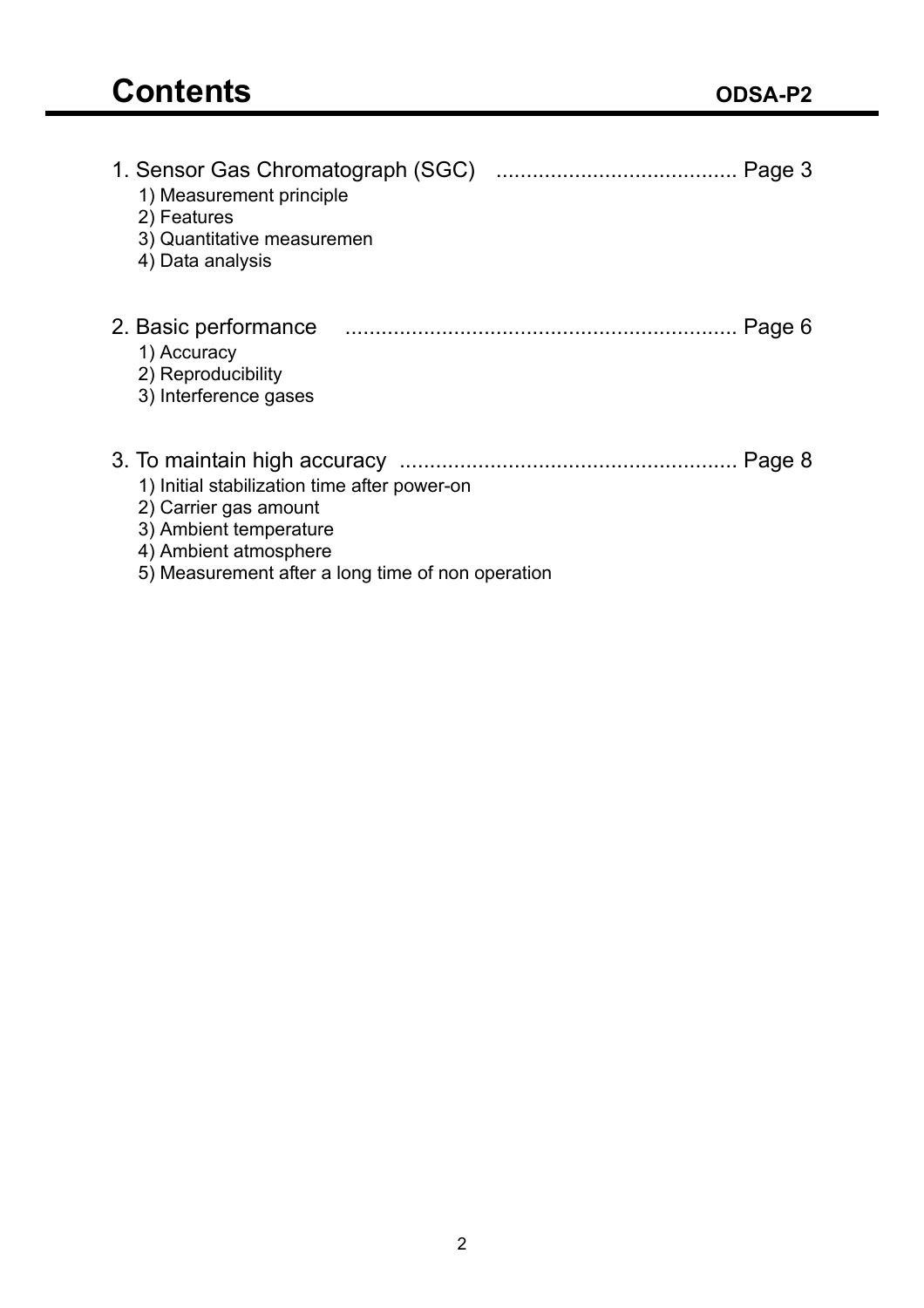| 1. Sensor Gas Chromatograph (SGC)<br>1) Measurement principle<br>2) Features<br>3) Quantitative measuremen<br>4) Data analysis                                                          |
|-----------------------------------------------------------------------------------------------------------------------------------------------------------------------------------------|
| 2. Basic performance<br>Page 6<br>1) Accuracy<br>2) Reproducibility<br>3) Interference gases                                                                                            |
| Page 8<br>1) Initial stabilization time after power-on<br>2) Carrier gas amount<br>3) Ambient temperature<br>4) Ambient atmosphere<br>5) Measurement after a long time of non operation |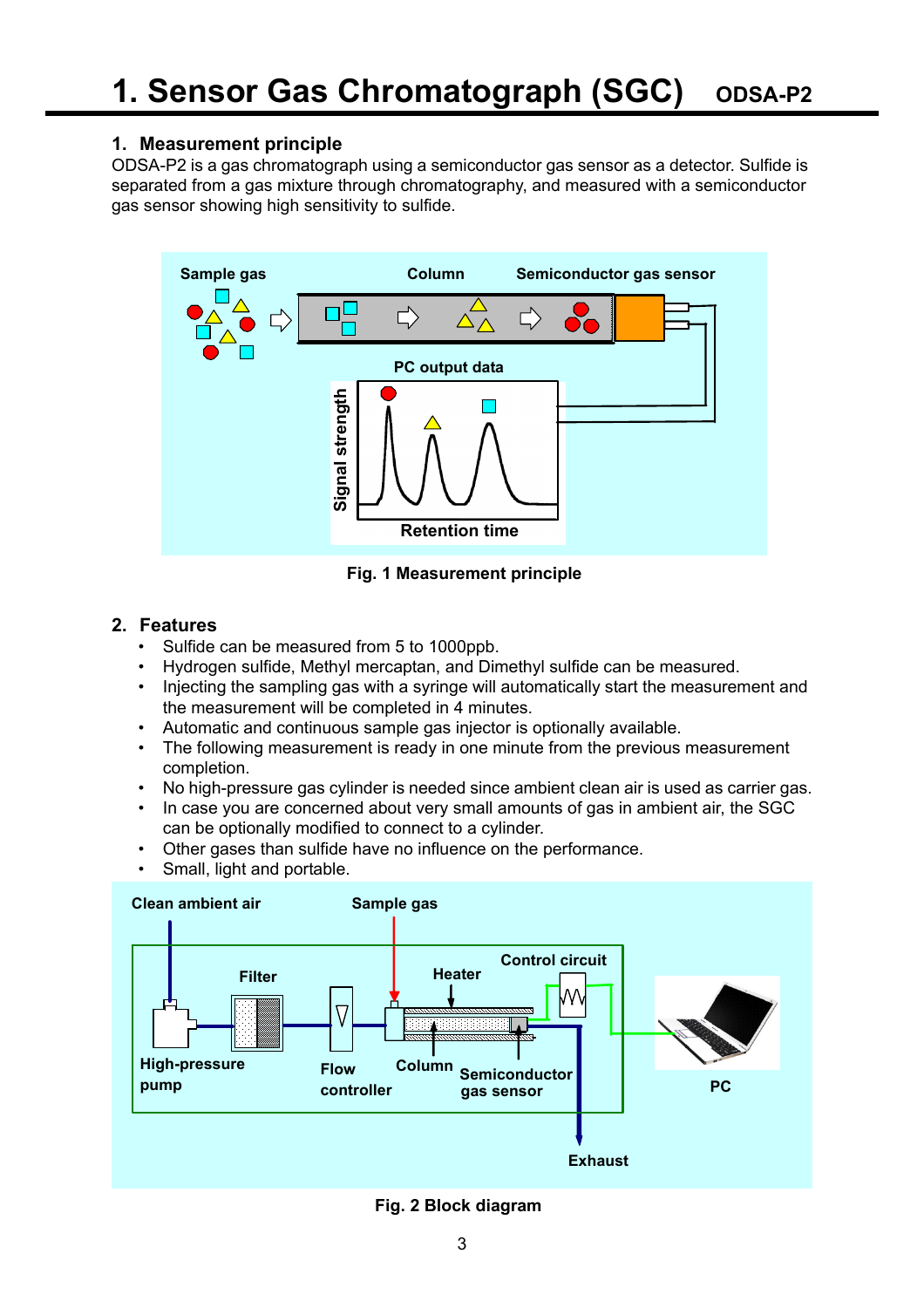# **1. Measurement principle**

ODSA-P2 is a gas chromatograph using a semiconductor gas sensor as a detector. Sulfide is separated from a gas mixture through chromatography, and measured with a semiconductor gas sensor showing high sensitivity to sulfide.



**Fig. 1 Measurement principle**

# **2. Features**

- Sulfide can be measured from 5 to 1000ppb.
- Hydrogen sulfide, Methyl mercaptan, and Dimethyl sulfide can be measured.
- Injecting the sampling gas with a syringe will automatically start the measurement and the measurement will be completed in 4 minutes.
- Automatic and continuous sample gas injector is optionally available.
- The following measurement is ready in one minute from the previous measurement completion.
- No high-pressure gas cylinder is needed since ambient clean air is used as carrier gas.
- In case you are concerned about very small amounts of gas in ambient air, the SGC can be optionally modified to connect to a cylinder.
- Other gases than sulfide have no influence on the performance.
- Small, light and portable.



**Fig. 2 Block diagram**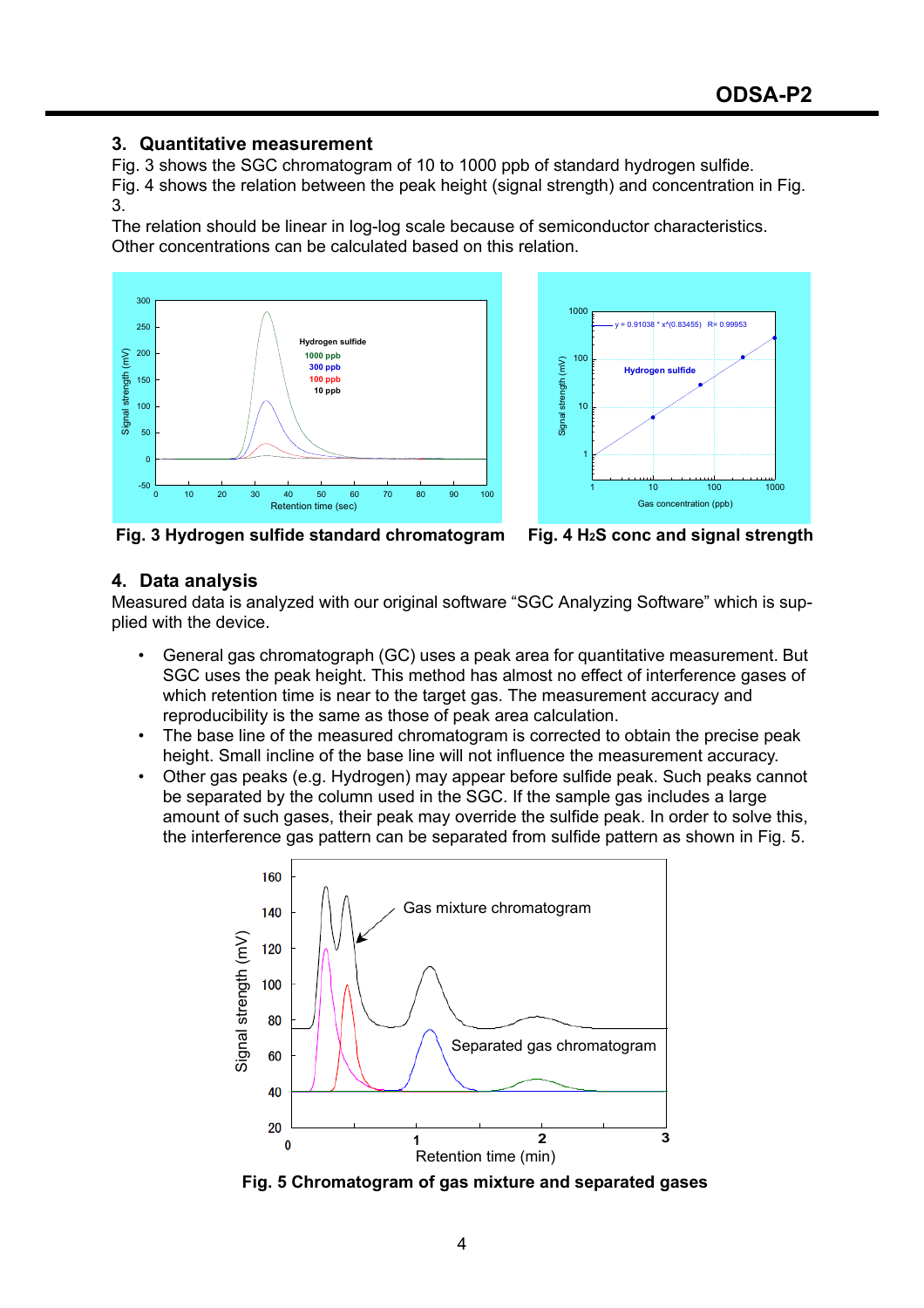## **3. Quantitative measurement**

Fig. 3 shows the SGC chromatogram of 10 to 1000 ppb of standard hydrogen sulfide. Fig. 4 shows the relation between the peak height (signal strength) and concentration in Fig. 3.

The relation should be linear in log-log scale because of semiconductor characteristics. Other concentrations can be calculated based on this relation.





**Fig. 3 Hydrogen sulfide standard chromatogram Fig. 4 H2S conc and signal strength**

#### **4. Data analysis**

Measured data is analyzed with our original software "SGC Analyzing Software" which is supplied with the device.

- General gas chromatograph (GC) uses a peak area for quantitative measurement. But SGC uses the peak height. This method has almost no effect of interference gases of which retention time is near to the target gas. The measurement accuracy and reproducibility is the same as those of peak area calculation.
- The base line of the measured chromatogram is corrected to obtain the precise peak height. Small incline of the base line will not influence the measurement accuracy.
- Other gas peaks (e.g. Hydrogen) may appear before sulfide peak. Such peaks cannot be separated by the column used in the SGC. If the sample gas includes a large amount of such gases, their peak may override the sulfide peak. In order to solve this, the interference gas pattern can be separated from sulfide pattern as shown in Fig. 5.



**Fig. 5 Chromatogram of gas mixture and separated gases**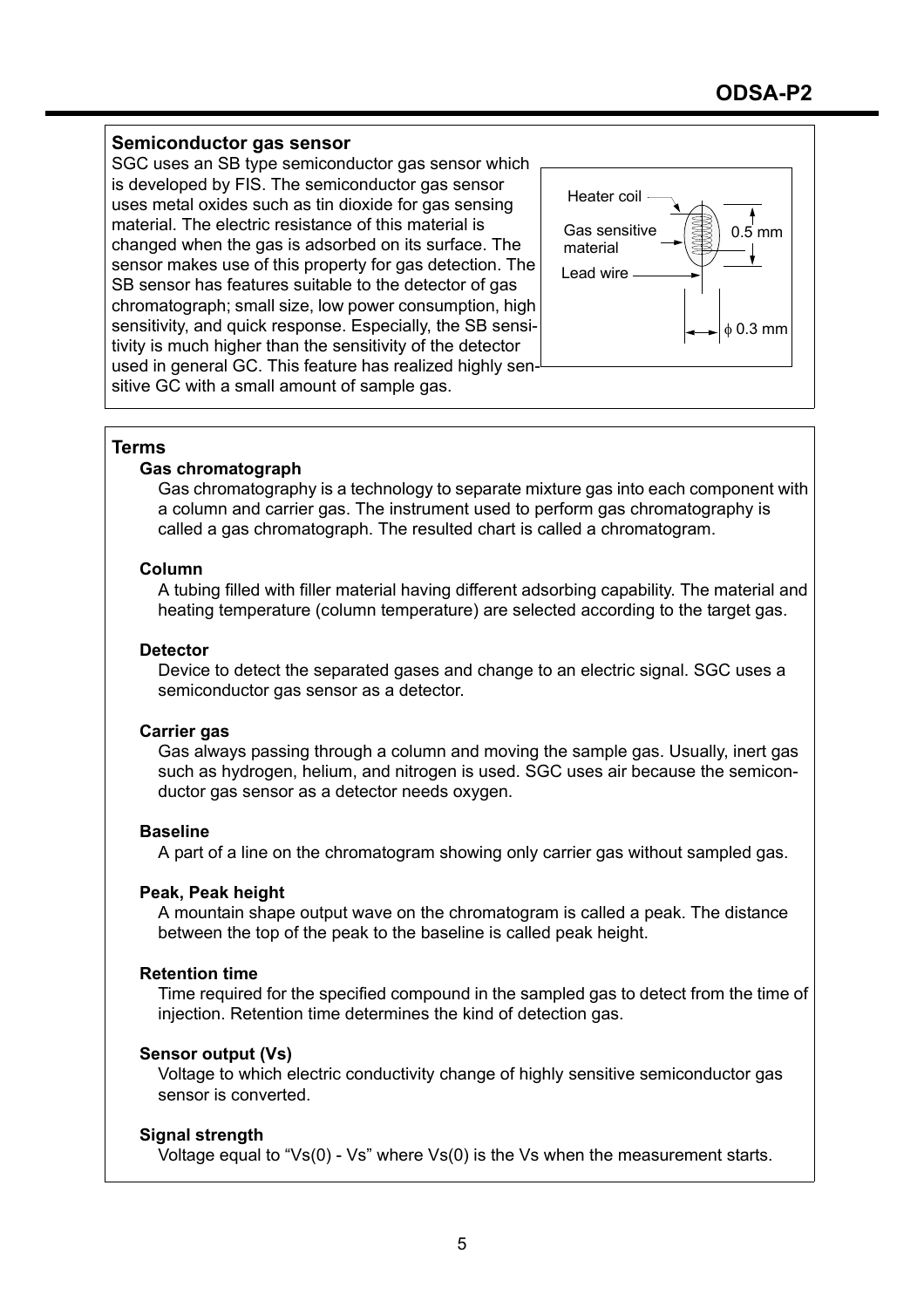## **Semiconductor gas sensor**

SGC uses an SB type semiconductor gas sensor which is developed by FIS. The semiconductor gas sensor uses metal oxides such as tin dioxide for gas sensing material. The electric resistance of this material is changed when the gas is adsorbed on its surface. The sensor makes use of this property for gas detection. The SB sensor has features suitable to the detector of gas chromatograph; small size, low power consumption, high sensitivity, and quick response. Especially, the SB sensitivity is much higher than the sensitivity of the detector used in general GC. This feature has realized highly sensitive GC with a small amount of sample gas.



#### **Terms**

#### **Gas chromatograph**

Gas chromatography is a technology to separate mixture gas into each component with a column and carrier gas. The instrument used to perform gas chromatography is called a gas chromatograph. The resulted chart is called a chromatogram.

#### **Column**

A tubing filled with filler material having different adsorbing capability. The material and heating temperature (column temperature) are selected according to the target gas.

#### **Detector**

Device to detect the separated gases and change to an electric signal. SGC uses a semiconductor gas sensor as a detector.

# **Carrier gas**

Gas always passing through a column and moving the sample gas. Usually, inert gas such as hydrogen, helium, and nitrogen is used. SGC uses air because the semiconductor gas sensor as a detector needs oxygen.

#### **Baseline**

A part of a line on the chromatogram showing only carrier gas without sampled gas.

#### **Peak, Peak height**

A mountain shape output wave on the chromatogram is called a peak. The distance between the top of the peak to the baseline is called peak height.

#### **Retention time**

Time required for the specified compound in the sampled gas to detect from the time of injection. Retention time determines the kind of detection gas.

#### **Sensor output (Vs)**

Voltage to which electric conductivity change of highly sensitive semiconductor gas sensor is converted.

# **Signal strength**

Voltage equal to "Vs(0) - Vs" where Vs(0) is the Vs when the measurement starts.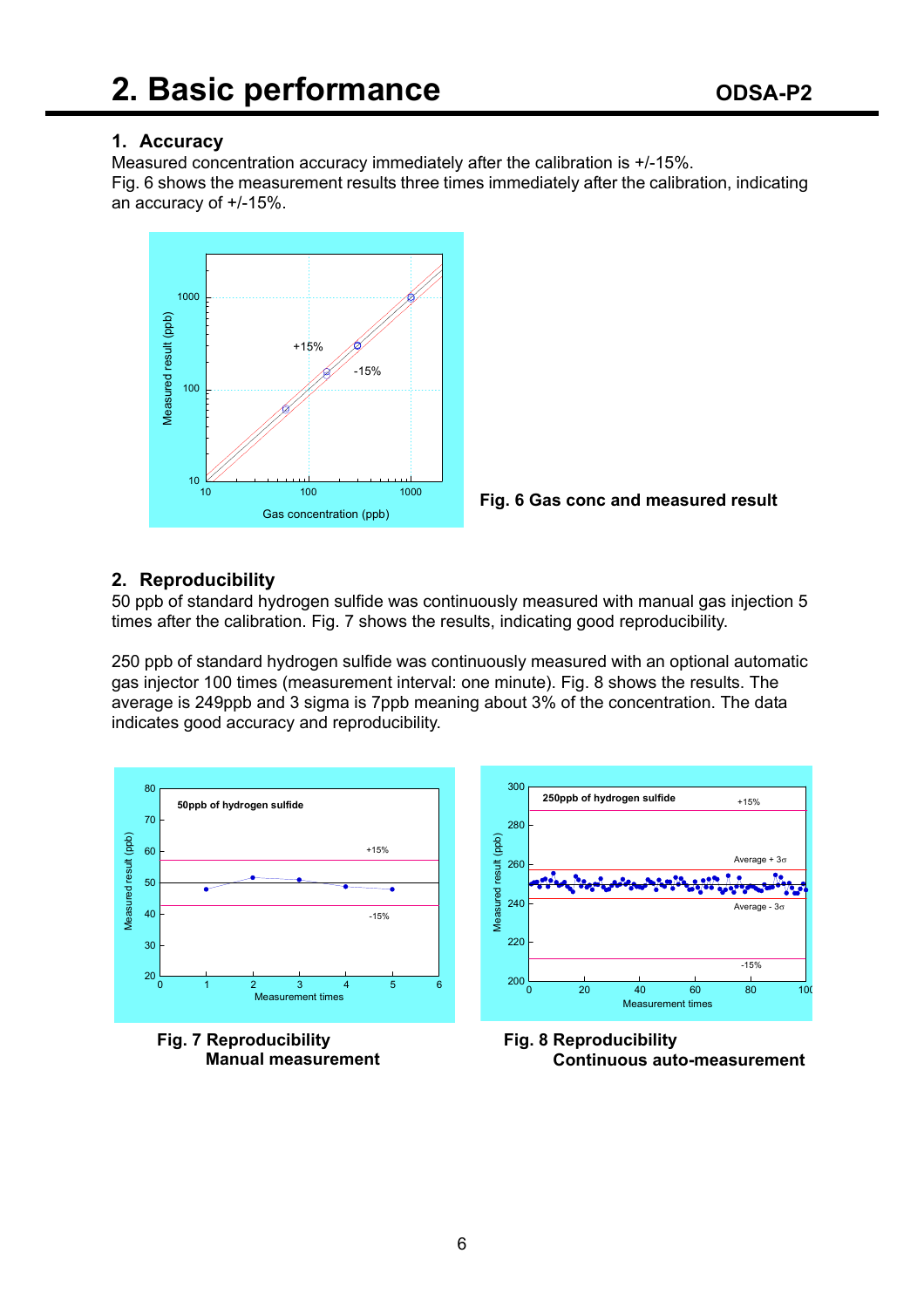# **1. Accuracy**

Measured concentration accuracy immediately after the calibration is +/-15%. Fig. 6 shows the measurement results three times immediately after the calibration, indicating an accuracy of +/-15%.





# **2. Reproducibility**

50 ppb of standard hydrogen sulfide was continuously measured with manual gas injection 5 times after the calibration. Fig. 7 shows the results, indicating good reproducibility.

250 ppb of standard hydrogen sulfide was continuously measured with an optional automatic gas injector 100 times (measurement interval: one minute). Fig. 8 shows the results. The average is 249ppb and 3 sigma is 7ppb meaning about 3% of the concentration. The data indicates good accuracy and reproducibility.



**Fig. 7 Reproducibility Manual measurement**



**Fig. 8 Reproducibility Continuous auto-measurement**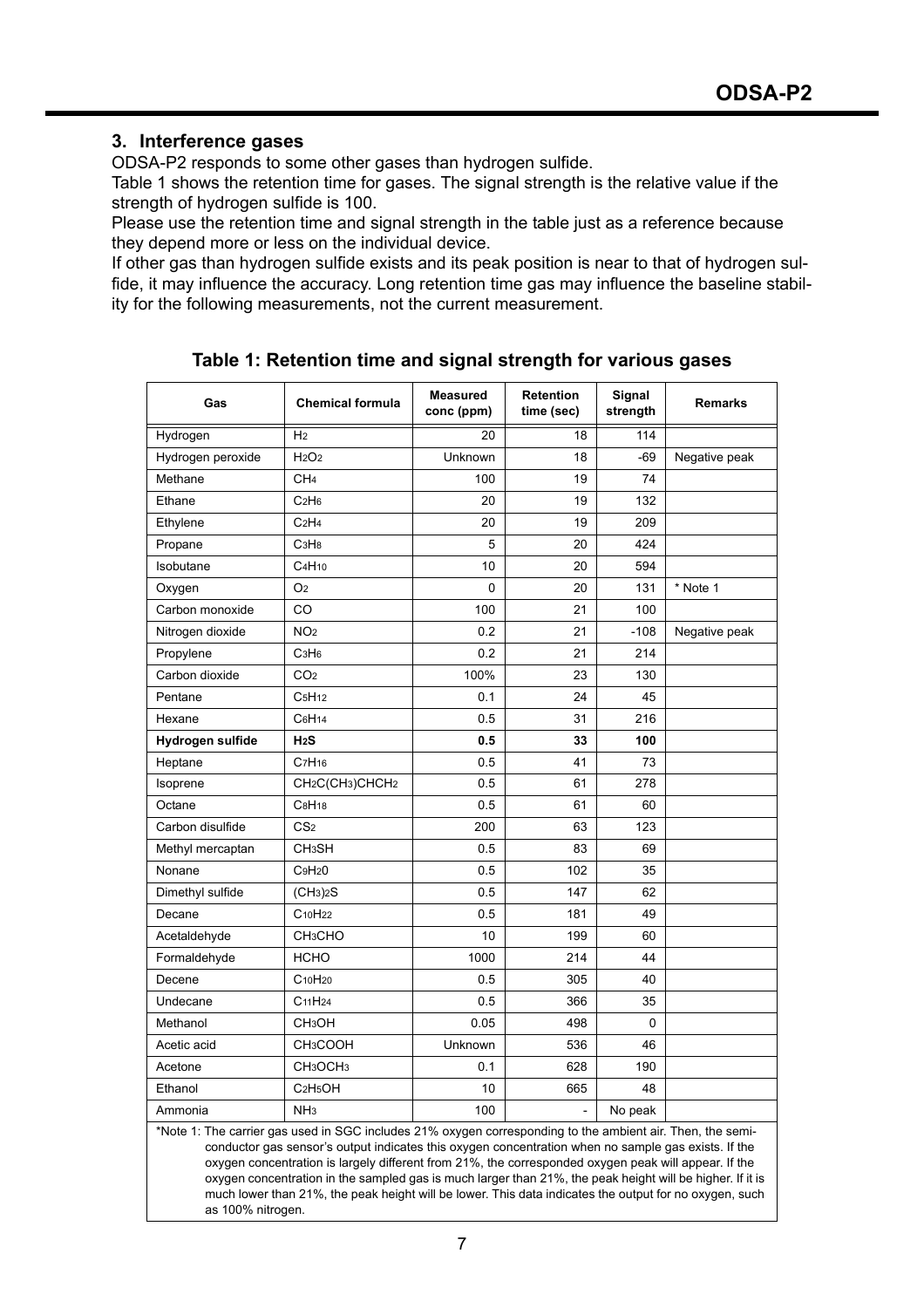# **3. Interference gases**

ODSA-P2 responds to some other gases than hydrogen sulfide.

Table 1 shows the retention time for gases. The signal strength is the relative value if the strength of hydrogen sulfide is 100.

Please use the retention time and signal strength in the table just as a reference because they depend more or less on the individual device.

If other gas than hydrogen sulfide exists and its peak position is near to that of hydrogen sulfide, it may influence the accuracy. Long retention time gas may influence the baseline stability for the following measurements, not the current measurement.

| Gas                                                                                                                                                                                                                                                                                                                       | <b>Chemical formula</b>                              | <b>Measured</b><br>conc (ppm) | <b>Retention</b><br>time (sec) | Signal<br>strength | <b>Remarks</b> |  |  |
|---------------------------------------------------------------------------------------------------------------------------------------------------------------------------------------------------------------------------------------------------------------------------------------------------------------------------|------------------------------------------------------|-------------------------------|--------------------------------|--------------------|----------------|--|--|
| Hydrogen                                                                                                                                                                                                                                                                                                                  | H <sub>2</sub>                                       | 20                            | 18                             | 114                |                |  |  |
| Hydrogen peroxide                                                                                                                                                                                                                                                                                                         | H <sub>2</sub> O <sub>2</sub>                        | Unknown                       | 18                             | $-69$              | Negative peak  |  |  |
| Methane                                                                                                                                                                                                                                                                                                                   | CH <sub>4</sub>                                      | 100                           | 19                             | 74                 |                |  |  |
| Ethane                                                                                                                                                                                                                                                                                                                    | C <sub>2</sub> H <sub>6</sub>                        | 20                            | 19                             | 132                |                |  |  |
| Ethylene                                                                                                                                                                                                                                                                                                                  | C <sub>2</sub> H <sub>4</sub>                        | 20                            | 19                             | 209                |                |  |  |
| Propane                                                                                                                                                                                                                                                                                                                   | C <sub>3</sub> H <sub>8</sub>                        | 5                             | 20                             | 424                |                |  |  |
| Isobutane                                                                                                                                                                                                                                                                                                                 | C <sub>4</sub> H <sub>10</sub>                       | 10                            | 20                             | 594                |                |  |  |
| Oxygen                                                                                                                                                                                                                                                                                                                    | O <sub>2</sub>                                       | 0                             | 20                             | 131                | * Note 1       |  |  |
| Carbon monoxide                                                                                                                                                                                                                                                                                                           | CO                                                   | 100                           | 21                             | 100                |                |  |  |
| Nitrogen dioxide                                                                                                                                                                                                                                                                                                          | NO <sub>2</sub>                                      | 0.2                           | 21                             | $-108$             | Negative peak  |  |  |
| Propylene                                                                                                                                                                                                                                                                                                                 | C <sub>3</sub> H <sub>6</sub>                        | 0.2                           | 21                             | 214                |                |  |  |
| Carbon dioxide                                                                                                                                                                                                                                                                                                            | CO <sub>2</sub>                                      | 100%                          | 23                             | 130                |                |  |  |
| Pentane                                                                                                                                                                                                                                                                                                                   | C <sub>5</sub> H <sub>12</sub>                       | 0.1                           | 24                             | 45                 |                |  |  |
| Hexane                                                                                                                                                                                                                                                                                                                    | C <sub>6</sub> H <sub>14</sub>                       | 0.5                           | 31                             | 216                |                |  |  |
| Hydrogen sulfide                                                                                                                                                                                                                                                                                                          | H <sub>2</sub> S                                     | 0.5                           | 33                             | 100                |                |  |  |
| Heptane                                                                                                                                                                                                                                                                                                                   | C <sub>7</sub> H <sub>16</sub>                       | 0.5                           | 41                             | 73                 |                |  |  |
| Isoprene                                                                                                                                                                                                                                                                                                                  | CH <sub>2</sub> C(CH <sub>3</sub> )CHCH <sub>2</sub> | 0.5                           | 61                             | 278                |                |  |  |
| Octane                                                                                                                                                                                                                                                                                                                    | C <sub>8</sub> H <sub>18</sub>                       | 0.5                           | 61                             | 60                 |                |  |  |
| Carbon disulfide                                                                                                                                                                                                                                                                                                          | CS <sub>2</sub>                                      | 200                           | 63                             | 123                |                |  |  |
| Methyl mercaptan                                                                                                                                                                                                                                                                                                          | <b>CH<sub>3</sub>SH</b>                              | 0.5                           | 83                             | 69                 |                |  |  |
| Nonane                                                                                                                                                                                                                                                                                                                    | C <sub>9</sub> H <sub>2</sub> 0                      | 0.5                           | 102                            | 35                 |                |  |  |
| Dimethyl sulfide                                                                                                                                                                                                                                                                                                          | (CH <sub>3</sub> ) <sub>2</sub> S                    | 0.5                           | 147                            | 62                 |                |  |  |
| Decane                                                                                                                                                                                                                                                                                                                    | C <sub>10</sub> H <sub>22</sub>                      | 0.5                           | 181                            | 49                 |                |  |  |
| Acetaldehyde                                                                                                                                                                                                                                                                                                              | <b>CH<sub>3</sub>CHO</b>                             | 10                            | 199                            | 60                 |                |  |  |
| Formaldehyde                                                                                                                                                                                                                                                                                                              | <b>HCHO</b>                                          | 1000                          | 214                            | 44                 |                |  |  |
| Decene                                                                                                                                                                                                                                                                                                                    | C <sub>10</sub> H <sub>20</sub>                      | 0.5                           | 305                            | 40                 |                |  |  |
| Undecane                                                                                                                                                                                                                                                                                                                  | C <sub>11</sub> H <sub>24</sub>                      | 0.5                           | 366                            | 35                 |                |  |  |
| Methanol                                                                                                                                                                                                                                                                                                                  | CH <sub>3</sub> OH                                   | 0.05                          | 498                            | $\mathbf{0}$       |                |  |  |
| Acetic acid                                                                                                                                                                                                                                                                                                               | CH <sub>3</sub> COOH                                 | Unknown                       | 536                            | 46                 |                |  |  |
| Acetone                                                                                                                                                                                                                                                                                                                   | CH <sub>3</sub> OCH <sub>3</sub>                     | 0.1                           | 628                            | 190                |                |  |  |
| Ethanol                                                                                                                                                                                                                                                                                                                   | C <sub>2</sub> H <sub>5</sub> OH                     | 10                            | 665                            | 48                 |                |  |  |
| Ammonia                                                                                                                                                                                                                                                                                                                   | NH <sub>3</sub>                                      | 100                           |                                | No peak            |                |  |  |
| *Note 1: The carrier gas used in SGC includes 21% oxygen corresponding to the ambient air. Then, the semi-<br>conductor gas sensor's output indicates this oxygen concentration when no sample gas exists. If the<br>oxygen concentration is largely different from 21%, the corresponded oxygen peak will appear. If the |                                                      |                               |                                |                    |                |  |  |

**Table 1: Retention time and signal strength for various gases**

oxygen concentration in the sampled gas is much larger than 21%, the peak height will be higher. If it is much lower than 21%, the peak height will be lower. This data indicates the output for no oxygen, such as 100% nitrogen.